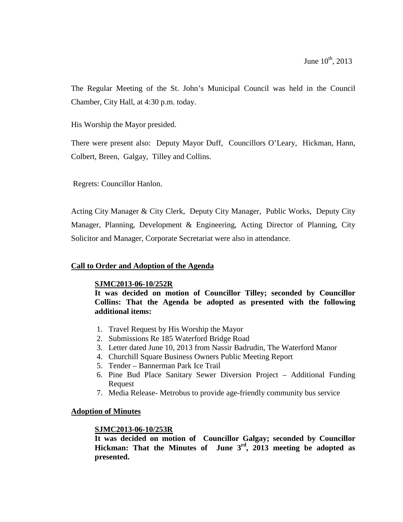The Regular Meeting of the St. John's Municipal Council was held in the Council Chamber, City Hall, at 4:30 p.m. today.

His Worship the Mayor presided.

There were present also: Deputy Mayor Duff, Councillors O'Leary, Hickman, Hann, Colbert, Breen, Galgay, Tilley and Collins.

Regrets: Councillor Hanlon.

Acting City Manager & City Clerk, Deputy City Manager, Public Works, Deputy City Manager, Planning, Development & Engineering, Acting Director of Planning, City Solicitor and Manager, Corporate Secretariat were also in attendance.

### **Call to Order and Adoption of the Agenda**

#### **SJMC2013-06-10/252R**

**It was decided on motion of Councillor Tilley; seconded by Councillor Collins: That the Agenda be adopted as presented with the following additional items:** 

- 1. Travel Request by His Worship the Mayor
- 2. Submissions Re 185 Waterford Bridge Road
- 3. Letter dated June 10, 2013 from Nassir Badrudin, The Waterford Manor
- 4. Churchill Square Business Owners Public Meeting Report
- 5. Tender Bannerman Park Ice Trail
- 6. Pine Bud Place Sanitary Sewer Diversion Project Additional Funding Request
- 7. Media Release- Metrobus to provide age-friendly community bus service

#### **Adoption of Minutes**

#### **SJMC2013-06-10/253R**

**It was decided on motion of Councillor Galgay; seconded by Councillor Hickman: That the Minutes of June 3rd, 2013 meeting be adopted as presented.**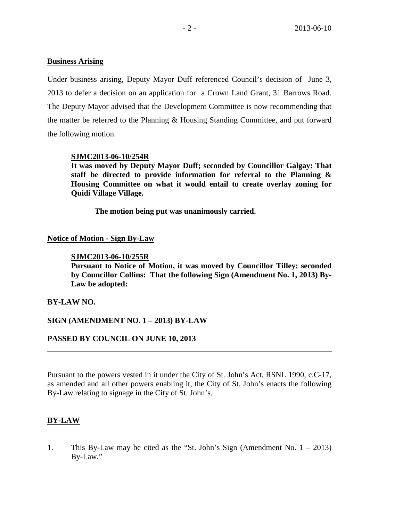### **Business Arising**

Under business arising, Deputy Mayor Duff referenced Council's decision of June 3, 2013 to defer a decision on an application for a Crown Land Grant, 31 Barrows Road. The Deputy Mayor advised that the Development Committee is now recommending that the matter be referred to the Planning & Housing Standing Committee, and put forward the following motion.

### **SJMC2013-06-10/254R**

**It was moved by Deputy Mayor Duff; seconded by Councillor Galgay: That staff be directed to provide information for referral to the Planning & Housing Committee on what it would entail to create overlay zoning for Quidi Village Village.**

**The motion being put was unanimously carried.** 

## **Notice of Motion - Sign By-Law**

### **SJMC2013-06-10/255R**

**Pursuant to Notice of Motion, it was moved by Councillor Tilley; seconded by Councillor Collins: That the following Sign (Amendment No. 1, 2013) By-Law be adopted:**

### **BY-LAW NO.**

## **SIGN (AMENDMENT NO. 1 – 2013) BY-LAW**

### **PASSED BY COUNCIL ON JUNE 10, 2013**

Pursuant to the powers vested in it under the City of St. John's Act, RSNL 1990, c.C-17, as amended and all other powers enabling it, the City of St. John's enacts the following By-Law relating to signage in the City of St. John's.

## **BY-LAW**

1. This By-Law may be cited as the "St. John's Sign (Amendment No. 1 – 2013) By-Law."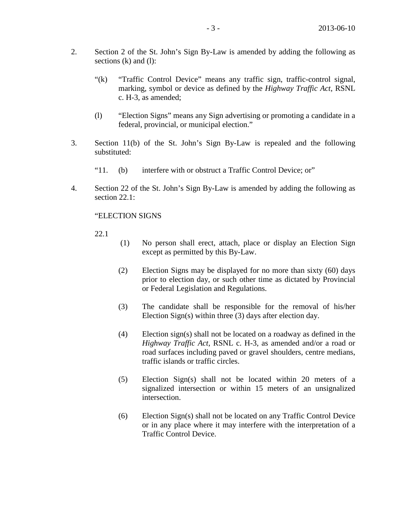- 2. Section 2 of the St. John's Sign By-Law is amended by adding the following as sections  $(k)$  and  $(l)$ :
	- "(k) "Traffic Control Device" means any traffic sign, traffic-control signal, marking, symbol or device as defined by the *Highway Traffic Act*, RSNL c. H-3, as amended;
	- (l) "Election Signs" means any Sign advertising or promoting a candidate in a federal, provincial, or municipal election."
- 3. Section 11(b) of the St. John's Sign By-Law is repealed and the following substituted:
	- "11. (b) interfere with or obstruct a Traffic Control Device; or"
- 4. Section 22 of the St. John's Sign By-Law is amended by adding the following as section 22.1:

#### "ELECTION SIGNS

22.1

- (1) No person shall erect, attach, place or display an Election Sign except as permitted by this By-Law.
- (2) Election Signs may be displayed for no more than sixty (60) days prior to election day, or such other time as dictated by Provincial or Federal Legislation and Regulations.
- (3) The candidate shall be responsible for the removal of his/her Election Sign(s) within three (3) days after election day.
- (4) Election sign(s) shall not be located on a roadway as defined in the *Highway Traffic Act*, RSNL c. H-3, as amended and/or a road or road surfaces including paved or gravel shoulders, centre medians, traffic islands or traffic circles.
- (5) Election Sign(s) shall not be located within 20 meters of a signalized intersection or within 15 meters of an unsignalized intersection.
- (6) Election Sign(s) shall not be located on any Traffic Control Device or in any place where it may interfere with the interpretation of a Traffic Control Device.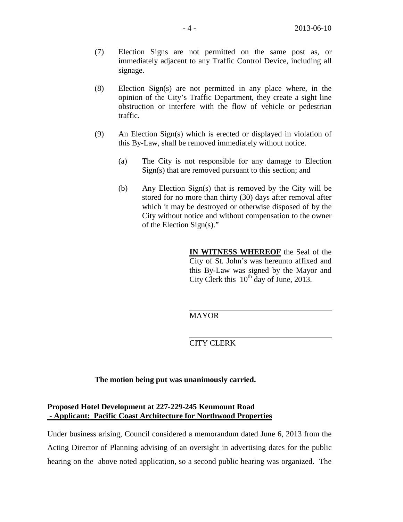- (7) Election Signs are not permitted on the same post as, or immediately adjacent to any Traffic Control Device, including all signage.
- (8) Election Sign(s) are not permitted in any place where, in the opinion of the City's Traffic Department, they create a sight line obstruction or interfere with the flow of vehicle or pedestrian traffic.
- (9) An Election Sign(s) which is erected or displayed in violation of this By-Law, shall be removed immediately without notice.
	- (a) The City is not responsible for any damage to Election Sign(s) that are removed pursuant to this section; and
	- (b) Any Election Sign(s) that is removed by the City will be stored for no more than thirty (30) days after removal after which it may be destroyed or otherwise disposed of by the City without notice and without compensation to the owner of the Election Sign(s)."

**IN WITNESS WHEREOF** the Seal of the City of St. John's was hereunto affixed and this By-Law was signed by the Mayor and City Clerk this  $10^{th}$  day of June, 2013.

MAYOR

CITY CLERK

**The motion being put was unanimously carried.**

### **Proposed Hotel Development at 227-229-245 Kenmount Road - Applicant: Pacific Coast Architecture for Northwood Properties**

Under business arising, Council considered a memorandum dated June 6, 2013 from the Acting Director of Planning advising of an oversight in advertising dates for the public hearing on the above noted application, so a second public hearing was organized. The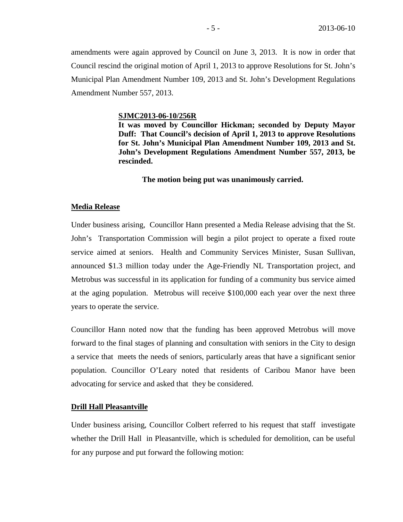amendments were again approved by Council on June 3, 2013. It is now in order that Council rescind the original motion of April 1, 2013 to approve Resolutions for St. John's Municipal Plan Amendment Number 109, 2013 and St. John's Development Regulations Amendment Number 557, 2013.

#### **SJMC2013-06-10/256R**

**It was moved by Councillor Hickman; seconded by Deputy Mayor Duff: That Council's decision of April 1, 2013 to approve Resolutions for St. John's Municipal Plan Amendment Number 109, 2013 and St. John's Development Regulations Amendment Number 557, 2013, be rescinded.**

**The motion being put was unanimously carried.**

#### **Media Release**

Under business arising, Councillor Hann presented a Media Release advising that the St. John's Transportation Commission will begin a pilot project to operate a fixed route service aimed at seniors. Health and Community Services Minister, Susan Sullivan, announced \$1.3 million today under the Age-Friendly NL Transportation project, and Metrobus was successful in its application for funding of a community bus service aimed at the aging population. Metrobus will receive \$100,000 each year over the next three years to operate the service.

Councillor Hann noted now that the funding has been approved Metrobus will move forward to the final stages of planning and consultation with seniors in the City to design a service that meets the needs of seniors, particularly areas that have a significant senior population. Councillor O'Leary noted that residents of Caribou Manor have been advocating for service and asked that they be considered.

#### **Drill Hall Pleasantville**

Under business arising, Councillor Colbert referred to his request that staff investigate whether the Drill Hall in Pleasantville, which is scheduled for demolition, can be useful for any purpose and put forward the following motion: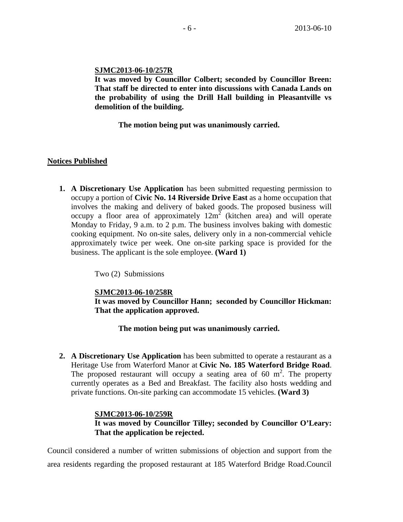### **SJMC2013-06-10/257R**

**It was moved by Councillor Colbert; seconded by Councillor Breen: That staff be directed to enter into discussions with Canada Lands on the probability of using the Drill Hall building in Pleasantville vs demolition of the building.**

**The motion being put was unanimously carried.**

### **Notices Published**

**1. A Discretionary Use Application** has been submitted requesting permission to occupy a portion of **Civic No. 14 Riverside Drive East** as a home occupation that involves the making and delivery of baked goods. The proposed business will occupy a floor area of approximately  $12m^2$  (kitchen area) and will operate Monday to Friday, 9 a.m. to 2 p.m. The business involves baking with domestic cooking equipment. No on-site sales, delivery only in a non-commercial vehicle approximately twice per week. One on-site parking space is provided for the business. The applicant is the sole employee. **(Ward 1)** 

Two (2) Submissions

**SJMC2013-06-10/258R It was moved by Councillor Hann; seconded by Councillor Hickman: That the application approved.**

**The motion being put was unanimously carried.**

**2. A Discretionary Use Application** has been submitted to operate a restaurant as a Heritage Use from Waterford Manor at **Civic No. 185 Waterford Bridge Road**. The proposed restaurant will occupy a seating area of 60  $m^2$ . The property currently operates as a Bed and Breakfast. The facility also hosts wedding and private functions. On-site parking can accommodate 15 vehicles. **(Ward 3)**

### **SJMC2013-06-10/259R**

**It was moved by Councillor Tilley; seconded by Councillor O'Leary: That the application be rejected.**

Council considered a number of written submissions of objection and support from the area residents regarding the proposed restaurant at 185 Waterford Bridge Road.Council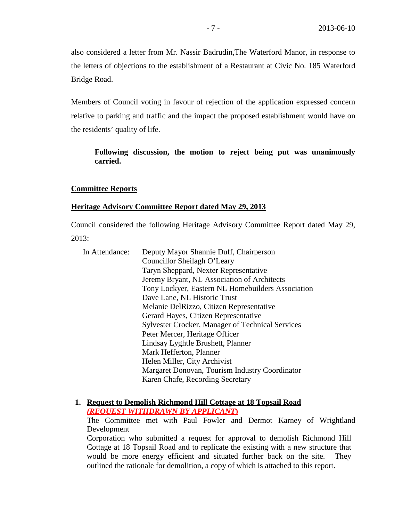also considered a letter from Mr. Nassir Badrudin,The Waterford Manor, in response to the letters of objections to the establishment of a Restaurant at Civic No. 185 Waterford Bridge Road.

Members of Council voting in favour of rejection of the application expressed concern relative to parking and traffic and the impact the proposed establishment would have on the residents' quality of life.

### **Following discussion, the motion to reject being put was unanimously carried.**

#### **Committee Reports**

### **Heritage Advisory Committee Report dated May 29, 2013**

Council considered the following Heritage Advisory Committee Report dated May 29, 2013:

| In Attendance: | Deputy Mayor Shannie Duff, Chairperson                  |
|----------------|---------------------------------------------------------|
|                | Councillor Sheilagh O'Leary                             |
|                | Taryn Sheppard, Nexter Representative                   |
|                | Jeremy Bryant, NL Association of Architects             |
|                | Tony Lockyer, Eastern NL Homebuilders Association       |
|                | Dave Lane, NL Historic Trust                            |
|                | Melanie Del Rizzo, Citizen Representative               |
|                | Gerard Hayes, Citizen Representative                    |
|                | <b>Sylvester Crocker, Manager of Technical Services</b> |
|                | Peter Mercer, Heritage Officer                          |
|                | Lindsay Lyghtle Brushett, Planner                       |
|                | Mark Hefferton, Planner                                 |
|                | Helen Miller, City Archivist                            |
|                | Margaret Donovan, Tourism Industry Coordinator          |
|                | Karen Chafe, Recording Secretary                        |

### **1. Request to Demolish Richmond Hill Cottage at 18 Topsail Road** *(REQUEST WITHDRAWN BY APPLICANT***)**

The Committee met with Paul Fowler and Dermot Karney of Wrightland Development

Corporation who submitted a request for approval to demolish Richmond Hill Cottage at 18 Topsail Road and to replicate the existing with a new structure that would be more energy efficient and situated further back on the site. They outlined the rationale for demolition, a copy of which is attached to this report.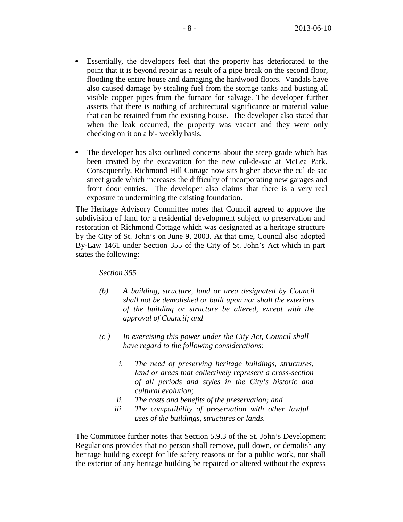- Essentially, the developers feel that the property has deteriorated to the point that it is beyond repair as a result of a pipe break on the second floor, flooding the entire house and damaging the hardwood floors. Vandals have also caused damage by stealing fuel from the storage tanks and busting all visible copper pipes from the furnace for salvage. The developer further asserts that there is nothing of architectural significance or material value that can be retained from the existing house. The developer also stated that when the leak occurred, the property was vacant and they were only checking on it on a bi- weekly basis.
- The developer has also outlined concerns about the steep grade which has been created by the excavation for the new cul-de-sac at McLea Park. Consequently, Richmond Hill Cottage now sits higher above the cul de sac street grade which increases the difficulty of incorporating new garages and front door entries. The developer also claims that there is a very real exposure to undermining the existing foundation.

The Heritage Advisory Committee notes that Council agreed to approve the subdivision of land for a residential development subject to preservation and restoration of Richmond Cottage which was designated as a heritage structure by the City of St. John's on June 9, 2003. At that time, Council also adopted By-Law 1461 under Section 355 of the City of St. John's Act which in part states the following:

*Section 355*

- *(b) A building, structure, land or area designated by Council shall not be demolished or built upon nor shall the exteriors of the building or structure be altered, except with the approval of Council; and*
- *(c ) In exercising this power under the City Act, Council shall have regard to the following considerations:*
	- *i. The need of preserving heritage buildings, structures, land or areas that collectively represent a cross-section of all periods and styles in the City's historic and cultural evolution;*
	- *ii. The costs and benefits of the preservation; and*
	- *iii. The compatibility of preservation with other lawful uses of the buildings, structures or lands.*

The Committee further notes that Section 5.9.3 of the St. John's Development Regulations provides that no person shall remove, pull down, or demolish any heritage building except for life safety reasons or for a public work, nor shall the exterior of any heritage building be repaired or altered without the express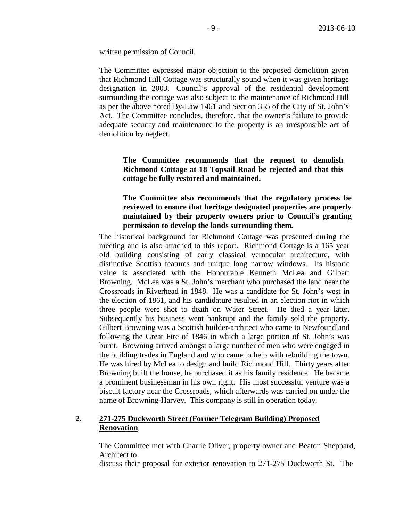written permission of Council.

The Committee expressed major objection to the proposed demolition given that Richmond Hill Cottage was structurally sound when it was given heritage designation in 2003. Council's approval of the residential development surrounding the cottage was also subject to the maintenance of Richmond Hill as per the above noted By-Law 1461 and Section 355 of the City of St. John's Act. The Committee concludes, therefore, that the owner's failure to provide adequate security and maintenance to the property is an irresponsible act of demolition by neglect.

### **The Committee recommends that the request to demolish Richmond Cottage at 18 Topsail Road be rejected and that this cottage be fully restored and maintained.**

### **The Committee also recommends that the regulatory process be reviewed to ensure that heritage designated properties are properly maintained by their property owners prior to Council's granting permission to develop the lands surrounding them.**

The historical background for Richmond Cottage was presented during the meeting and is also attached to this report. Richmond Cottage is a 165 year old building consisting of early classical vernacular architecture, with distinctive Scottish features and unique long narrow windows. Its historic value is associated with the Honourable Kenneth McLea and Gilbert Browning. McLea was a St. John's merchant who purchased the land near the Crossroads in Riverhead in 1848. He was a candidate for St. John's west in the election of 1861, and his candidature resulted in an election riot in which three people were shot to death on Water Street. He died a year later. Subsequently his business went bankrupt and the family sold the property. Gilbert Browning was a Scottish builder-architect who came to Newfoundland following the Great Fire of 1846 in which a large portion of St. John's was burnt. Browning arrived amongst a large number of men who were engaged in the building trades in England and who came to help with rebuilding the town. He was hired by McLea to design and build Richmond Hill. Thirty years after Browning built the house, he purchased it as his family residence. He became a prominent businessman in his own right. His most successful venture was a biscuit factory near the Crossroads, which afterwards was carried on under the name of Browning-Harvey. This company is still in operation today.

# **2. 271-275 Duckworth Street (Former Telegram Building) Proposed Renovation**

The Committee met with Charlie Oliver, property owner and Beaton Sheppard, Architect to

discuss their proposal for exterior renovation to 271-275 Duckworth St. The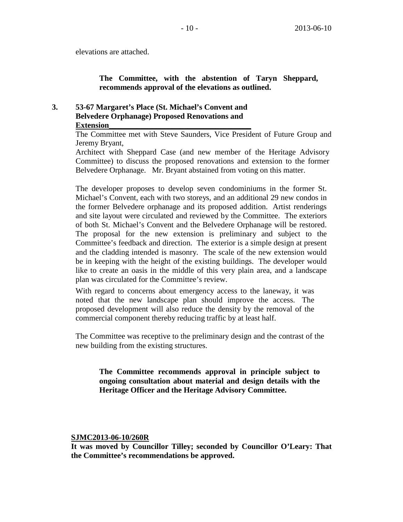elevations are attached.

### **The Committee, with the abstention of Taryn Sheppard, recommends approval of the elevations as outlined.**

### **3. 53-67 Margaret's Place (St. Michael's Convent and Belvedere Orphanage) Proposed Renovations and**   $Extension$

The Committee met with Steve Saunders, Vice President of Future Group and Jeremy Bryant,

Architect with Sheppard Case (and new member of the Heritage Advisory Committee) to discuss the proposed renovations and extension to the former Belvedere Orphanage. Mr. Bryant abstained from voting on this matter.

The developer proposes to develop seven condominiums in the former St. Michael's Convent, each with two storeys, and an additional 29 new condos in the former Belvedere orphanage and its proposed addition. Artist renderings and site layout were circulated and reviewed by the Committee. The exteriors of both St. Michael's Convent and the Belvedere Orphanage will be restored. The proposal for the new extension is preliminary and subject to the Committee's feedback and direction. The exterior is a simple design at present and the cladding intended is masonry. The scale of the new extension would be in keeping with the height of the existing buildings. The developer would like to create an oasis in the middle of this very plain area, and a landscape plan was circulated for the Committee's review.

With regard to concerns about emergency access to the laneway, it was noted that the new landscape plan should improve the access. The proposed development will also reduce the density by the removal of the commercial component thereby reducing traffic by at least half.

The Committee was receptive to the preliminary design and the contrast of the new building from the existing structures.

**The Committee recommends approval in principle subject to ongoing consultation about material and design details with the Heritage Officer and the Heritage Advisory Committee.**

**SJMC2013-06-10/260R**

**It was moved by Councillor Tilley; seconded by Councillor O'Leary: That the Committee's recommendations be approved.**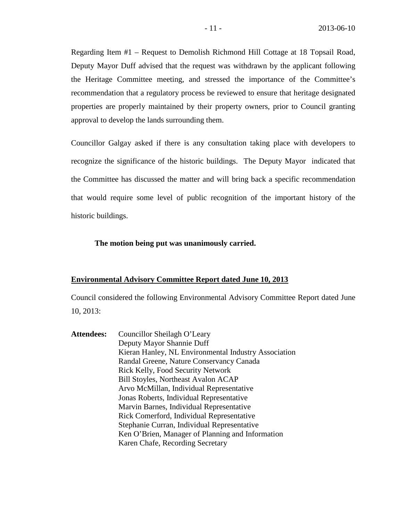Regarding Item #1 – Request to Demolish Richmond Hill Cottage at 18 Topsail Road, Deputy Mayor Duff advised that the request was withdrawn by the applicant following the Heritage Committee meeting, and stressed the importance of the Committee's recommendation that a regulatory process be reviewed to ensure that heritage designated properties are properly maintained by their property owners, prior to Council granting approval to develop the lands surrounding them.

Councillor Galgay asked if there is any consultation taking place with developers to recognize the significance of the historic buildings. The Deputy Mayor indicated that the Committee has discussed the matter and will bring back a specific recommendation that would require some level of public recognition of the important history of the historic buildings.

#### **The motion being put was unanimously carried.**

#### **Environmental Advisory Committee Report dated June 10, 2013**

Council considered the following Environmental Advisory Committee Report dated June 10, 2013:

**Attendees:** Councillor Sheilagh O'Leary Deputy Mayor Shannie Duff Kieran Hanley, NL Environmental Industry Association Randal Greene, Nature Conservancy Canada Rick Kelly, Food Security Network Bill Stoyles, Northeast Avalon ACAP Arvo McMillan, Individual Representative Jonas Roberts, Individual Representative Marvin Barnes, Individual Representative Rick Comerford, Individual Representative Stephanie Curran, Individual Representative Ken O'Brien, Manager of Planning and Information Karen Chafe, Recording Secretary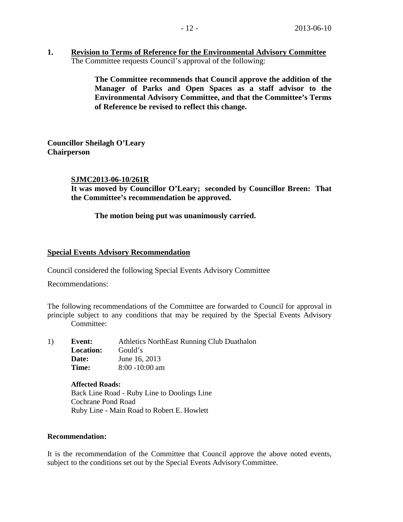**1. Revision to Terms of Reference for the Environmental Advisory Committee** The Committee requests Council's approval of the following:

> **The Committee recommends that Council approve the addition of the Manager of Parks and Open Spaces as a staff advisor to the Environmental Advisory Committee, and that the Committee's Terms of Reference be revised to reflect this change.**

**Councillor Sheilagh O'Leary Chairperson**

### **SJMC2013-06-10/261R**

**It was moved by Councillor O'Leary; seconded by Councillor Breen: That the Committee's recommendation be approved.**

### **The motion being put was unanimously carried.**

### **Special Events Advisory Recommendation**

Council considered the following Special Events Advisory Committee

Recommendations:

The following recommendations of the Committee are forwarded to Council for approval in principle subject to any conditions that may be required by the Special Events Advisory Committee:

| 1) | Event:           | Athletics NorthEast Running Club Duathalon |
|----|------------------|--------------------------------------------|
|    | <b>Location:</b> | Gould's                                    |
|    | Date:            | June 16, 2013                              |
|    | Time:            | $8:00 - 10:00$ am                          |

**Affected Roads:** Back Line Road - Ruby Line to Doolings Line Cochrane Pond Road Ruby Line - Main Road to Robert E. Howlett

#### **Recommendation:**

It is the recommendation of the Committee that Council approve the above noted events, subject to the conditions set out by the Special Events Advisory Committee.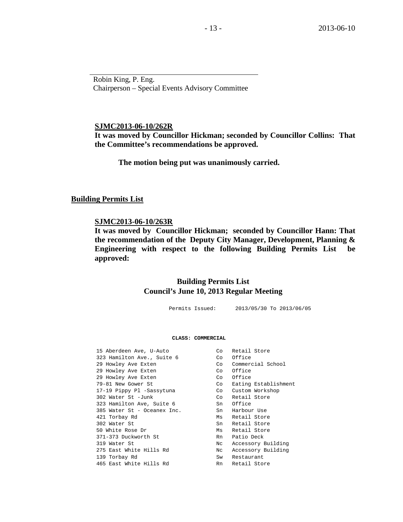Robin King, P. Eng. Chairperson – Special Events Advisory Committee

#### **SJMC2013-06-10/262R**

**It was moved by Councillor Hickman; seconded by Councillor Collins: That the Committee's recommendations be approved.**

**The motion being put was unanimously carried.**

#### **Building Permits List**

#### **SJMC2013-06-10/263R**

**It was moved by Councillor Hickman; seconded by Councillor Hann: That the recommendation of the Deputy City Manager, Development, Planning & Engineering with respect to the following Building Permits List be approved:** 

### **Building Permits List Council's June 10, 2013 Regular Meeting**

Permits Issued: 2013/05/30 To 2013/06/05

#### **CLASS: COMMERCIAL**

| 15 Aberdeen Ave, U-Auto     | Co | Retail Store         |
|-----------------------------|----|----------------------|
| 323 Hamilton Ave., Suite 6  | Co | Office               |
| 29 Howley Ave Exten         | Co | Commercial School    |
| 29 Howley Ave Exten         | Co | Office               |
| 29 Howley Ave Exten         | Co | Office               |
| 79-81 New Gower St          | Co | Eating Establishment |
| 17-19 Pippy Pl -Sassytuna   | Co | Custom Workshop      |
| 302 Water St -Junk          | Co | Retail Store         |
| 323 Hamilton Ave, Suite 6   | Sn | Office               |
| 385 Water St - Oceanex Inc. | Sn | Harbour Use          |
| 421 Torbay Rd               | Ms | Retail Store         |
| 302 Water St                | Sn | Retail Store         |
| 50 White Rose Dr            | Ms | Retail Store         |
| 371-373 Duckworth St        | Rn | Patio Deck           |
| 319 Water St                | Nc | Accessory Building   |
| 275 East White Hills Rd     | Nc | Accessory Building   |
| 139 Torbay Rd               | Sw | Restaurant           |
| 465 East White Hills Rd     | Rn | Retail Store         |
|                             |    |                      |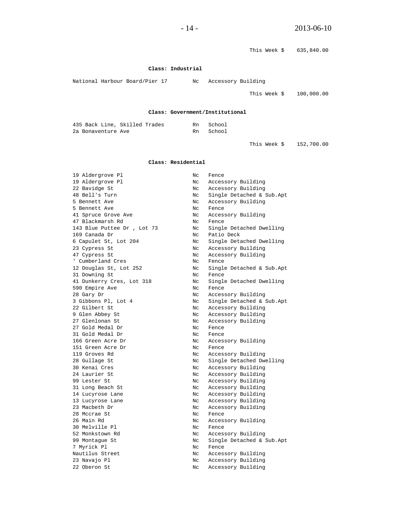|                                |                    | This Week \$                    | 635,840.00 |
|--------------------------------|--------------------|---------------------------------|------------|
|                                | Class: Industrial  |                                 |            |
| National Harbour Board/Pier 17 | Nc                 | Accessory Building              |            |
|                                |                    | This Week \$                    | 100,000.00 |
|                                |                    | Class: Government/Institutional |            |
| 435 Back Line, Skilled Trades  | Rn                 | School                          |            |
| 2a Bonaventure Ave             | Rn                 | School                          |            |
|                                |                    | This Week \$                    | 152,700.00 |
|                                | Class: Residential |                                 |            |
| 19 Aldergrove Pl               | Nc                 | Fence                           |            |
| 19 Aldergrove Pl               | Nc                 | Accessory Building              |            |
| 22 Bavidge St                  | $_{\rm NC}$        | Accessory Building              |            |
| 48 Bell's Turn                 | Nc                 | Single Detached & Sub.Apt       |            |
| 5 Bennett Ave                  | Nc                 | Accessory Building              |            |
| 5 Bennett Ave                  | Nc                 | Fence                           |            |
| 41 Spruce Grove Ave            | Nc.                | Accessory Building              |            |
| 47 Blackmarsh Rd               | $_{\rm NC}$        | Fence                           |            |
| 143 Blue Puttee Dr, Lot 73     | Nc                 | Single Detached Dwelling        |            |
| 169 Canada Dr                  | Nc                 | Patio Deck                      |            |
| 6 Capulet St, Lot 204          | N <sub>C</sub>     | Single Detached Dwelling        |            |
| 23 Cypress St                  | Nc                 | Accessory Building              |            |
| 47 Cypress St                  | Nc                 | Accessory Building              |            |
| ' Cumberland Cres              | Nc                 | Fence                           |            |
| 12 Douglas St, Lot 252         | $_{\rm NC}$        | Single Detached & Sub.Apt       |            |
| 31 Downing St                  | Nc                 | Fence                           |            |
| 41 Dunkerry Cres, Lot 318      | Nc                 | Single Detached Dwelling        |            |
| 590 Empire Ave                 | Nc                 | Fence                           |            |
| 28 Gary Dr                     | $_{\rm NC}$        | Accessory Building              |            |
| 3 Gibbons Pl, Lot 4            | Nc                 | Single Detached & Sub.Apt       |            |
| 22 Gilbert St                  | Nc                 | Accessory Building              |            |
| 9 Glen Abbey St                | Nc                 | Accessory Building              |            |
| 27 Glenlonan St                | Nc                 | Accessory Building              |            |
| 27 Gold Medal Dr               | $_{\rm NC}$        | Fence                           |            |
| 31 Gold Medal Dr               | Nc                 | Fence                           |            |
| 166 Green Acre Dr              | Nc                 | Accessory Building              |            |
| 151 Green Acre Dr              | Nc                 | Fence                           |            |
| 119 Groves Rd                  | Nc.                | Accessory Building              |            |

28 Gullage St Nc Single Detached Dwelling 30 Kenai Cres North Charles Not Accessory Building 24 Laurier St<br>
24 Lester St<br>
29 Lester St<br>
29 Lester St<br>
20 Nc Accessory Building 99 Lester St Nc Accessory Building 31 Long Beach St Nc Accessory Building<br>14 Lucyrose Lane Nc Accessory Building 14 Lucyrose Lane 13 Roman Charles Mc Accessory Building<br>13 Lucyrose Lane 13 Nc Accessory Building 13 Lucyrose Lane North Charles Nc Accessory Building 23 Macbeth Dr Nc Accessory Building

Nc Accessory Building<br>Nc Fence

Nc Accessory Building

28 Mccrae St<br>26 Main Rd<br>26 Main Rd

7 Myrick Pl Nc Fence

52 Monkstown Rd<br>
99 Montague St<br>
Nc Single Detached & ; 99 Montague St Nc Single Detached & Sub.Apt 7 Myrick Pl

Nautilus Street Nc Accessory Building<br>
23 Navajo Pl<br>
Nc Accessory Building 23 Navajo Pl Nc Accessory Building

30 Melville Pl<br>52 Monkstown Rd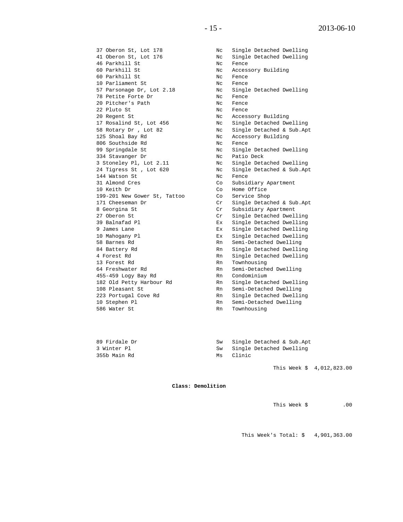37 Oberon St, Lot 178 Nc Single Detached Dwelling 46 Parkhill St<br>60 Parkhill St Nc Rence 60 Parkhill St Nc Accessory Building<br>60 Parkhill St Nc Fence 60 Parkhill St Nc Fence 10 Parliament St Nc Fence 78 Petite Forte Dr Nc Fence 20 Pitcher's Path Nc Fence 22 Pluto St<br>20 Regent St Nc Recessory Building 20 Regent St Nc Accessory Building 125 Shoal Bay Rd<br>
806 Southside Rd<br>
1806 Southside Rd<br>
1808 No Rence 806 Southside Rd Nc Fence 334 Stavanger Dr Nc Patio Deck 144 Watson St<br>31 Almond Cres The Communication Communications of Subsider 31 Almond Cres Co Subsidiary Apartment<br>10 Keith Dr Co Home Office 199-201 New Gower St, Tattoo<br>171 Cheeseman Dr 8 Georgina St<br>
27 Oberon St<br>
27 Oberon St<br>
Cr<br>
Cr<br>
Single Detached Dwel 58 Barnes Rd<br>
84 Battery Rd<br>
84 Battery Rd<br>
Rn Single Detached Dwellin 64 Freshwater Rd Rn Semi-Detached Dwelling 455-459 Logy Bay Rd Rn Condominium 108 Pleasant St Rn Semi-Detached Dwelling 223 Portugal Cove Rd 10 Stephen Pl Rn Semi-Detached Dwelling er and the state of the State of the State State of the State State State State State State State State State State State State State State State State State State State State State State State State State State State Stat

41 Oberon St, Lot 176 Nc Single Detached Dwelling 57 Parsonage Dr, Lot 2.18 Nc Single Detached Dwelling 17 Rosalind St, Lot 456 Nc Single Detached Dwelling 58 Rotary Dr , Lot 82 Nc Single Detached & Sub.Apt 99 Springdale St Nc Single Detached Dwelling 3 Stoneley Pl, Lot 2.11 Nc Single Detached Dwelling 24 Tigress St , Lot 620 Nc Single Detached & Sub.Apt Co Home Office<br>Co Service Shop 171 Cheeseman Dr Cr Single Detached & Sub.Apt 8 Georgina St Cr Subsidiary Apartment 27 Oberon St<br>
27 Oberon St<br>
29 Balnafad Pl<br>
22 Single Detached Dwelling 39 Balnafad Pl Ex Single Detached Dwelling 9 James Lane Ex Single Detached Dwelling 10 Mahogany Pl Ex Single Detached Dwelling Rn Single Detached Dwelling 4 Forest Rd<br>
13 Forest Rd<br>
13 Forest Rd<br>
20 Rn<br>
20 Rn<br>
20 Rn<br>
20 Rn<br>
20 Rn<br>
20 Rn<br>
20 Rn<br>
20 Rn<br>
20 Rn<br>
20 Rn<br>
20 Rn<br>
20 Rn<br>
20 Rn<br>
20 Rn<br>
20 Rn<br>
20 Rn<br>
20 Rn<br>
20 Rn<br>
20 Rn<br>
20 Rn<br>
20 Rn<br>
20 Rn<br>
20 Rn<br>
20 Rn<br>
20 Rn<br>
20 Rn<br> Rn Townhousing<br>Rn Semi-Detached Dwelling 182 Old Petty Harbour Rd<br>108 Pleasant St<br>Rn Semi-Detached Dwelling

| 89 Firdale Dr | Sw |        | Single Detached & Sub.Apt |
|---------------|----|--------|---------------------------|
| 3 Winter Pl   | Sw |        | Single Detached Dwelling  |
| 355b Main Rd  | Ms | Clinic |                           |

This Week \$ 4,012,823.00

**Class: Demolition**

This Week \$ .00

This Week's Total: \$ 4,901,363.00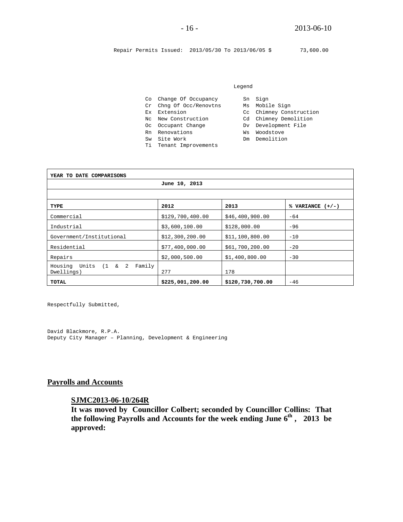Repair Permits Issued: 2013/05/30 To 2013/06/05 \$ 73,600.00

#### Legend

|  |  |  | Co Change Of Occupancy |  | Sn Sign |
|--|--|--|------------------------|--|---------|
|--|--|--|------------------------|--|---------|

- Cr Chng Of Occ/Renovtns Ms Mobile Sign
- 
- Nc New Construction Cd Chimney Demolition
- Oc Occupant Change Dv Development File
- Rn Renovations Ws Woodstove
- Sw Site Work Dom Demolition
- Ti Tenant Improvements
- -
	-
- Ex Extension Cc Chimney Construction
	-
	-
	-
	-

| YEAR TO DATE COMPARISONS                               |                  |                  |                    |
|--------------------------------------------------------|------------------|------------------|--------------------|
|                                                        | June 10, 2013    |                  |                    |
|                                                        |                  |                  |                    |
| TYPE                                                   | 2012             | 2013             | % VARIANCE $(+/-)$ |
| Commercial                                             | \$129,700,400.00 | \$46,400,900.00  | $-64$              |
| Industrial                                             | \$3,600,100.00   | \$128,000.00     | $-96$              |
| Government/Institutional                               | \$12,300,200.00  | \$11,100,800.00  | $-10$              |
| Residential                                            | \$77,400,000.00  | \$61,700,200.00  | $-20$              |
| Repairs                                                | \$2,000,500.00   | \$1,400,800.00   | $-30$              |
| Units<br>$(1 \& 2)$<br>Family<br>Housing<br>Dwellings) | 277              | 178              |                    |
| TOTAL                                                  | \$225,001,200.00 | \$120,730,700.00 | $-46$              |

Respectfully Submitted,

David Blackmore, R.P.A. Deputy City Manager – Planning, Development & Engineering

### **Payrolls and Accounts**

#### **SJMC2013-06-10/264R**

**It was moved by Councillor Colbert; seconded by Councillor Collins: That**  the following Payrolls and Accounts for the week ending June  $6<sup>th</sup>$ , 2013 be **approved:**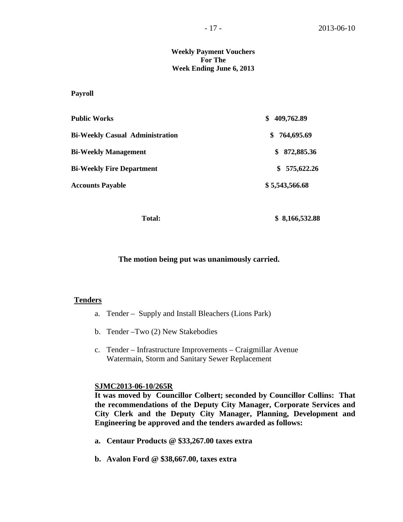#### **Weekly Payment Vouchers For The Week Ending June 6, 2013**

**Payroll**

| <b>Public Works</b>                    | 409,762.89<br>S   |  |
|----------------------------------------|-------------------|--|
| <b>Bi-Weekly Casual Administration</b> | 764,695.69<br>SS. |  |
| <b>Bi-Weekly Management</b>            | \$872,885.36      |  |
| <b>Bi-Weekly Fire Department</b>       | 575,622.26<br>SS. |  |
| <b>Accounts Payable</b>                | \$5,543,566.68    |  |

 **Total: \$ 8,166,532.88**

**The motion being put was unanimously carried.** 

### **Tenders**

- a. Tender Supply and Install Bleachers (Lions Park)
- b. Tender –Two (2) New Stakebodies
- c. Tender Infrastructure Improvements Craigmillar Avenue Watermain, Storm and Sanitary Sewer Replacement

#### **SJMC2013-06-10/265R**

**It was moved by Councillor Colbert; seconded by Councillor Collins: That the recommendations of the Deputy City Manager, Corporate Services and City Clerk and the Deputy City Manager, Planning, Development and Engineering be approved and the tenders awarded as follows:**

- **a. Centaur Products @ \$33,267.00 taxes extra**
- **b. Avalon Ford @ \$38,667.00, taxes extra**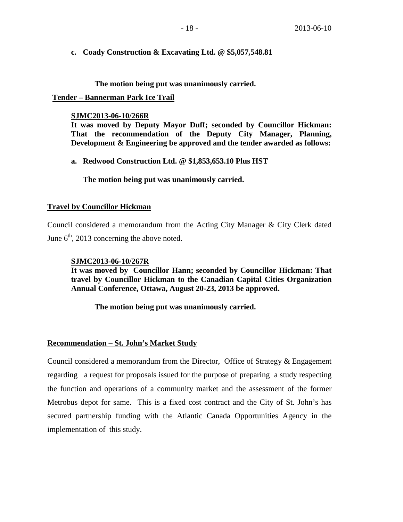**c. Coady Construction & Excavating Ltd. @ \$5,057,548.81**

**The motion being put was unanimously carried.**

### **Tender – Bannerman Park Ice Trail**

### **SJMC2013-06-10/266R**

**It was moved by Deputy Mayor Duff; seconded by Councillor Hickman: That the recommendation of the Deputy City Manager, Planning, Development & Engineering be approved and the tender awarded as follows:** 

**a. Redwood Construction Ltd. @ \$1,853,653.10 Plus HST**

**The motion being put was unanimously carried.**

### **Travel by Councillor Hickman**

Council considered a memorandum from the Acting City Manager & City Clerk dated June  $6<sup>th</sup>$ , 2013 concerning the above noted.

### **SJMC2013-06-10/267R**

**It was moved by Councillor Hann; seconded by Councillor Hickman: That travel by Councillor Hickman to the Canadian Capital Cities Organization Annual Conference, Ottawa, August 20-23, 2013 be approved.**

**The motion being put was unanimously carried.**

### **Recommendation – St. John's Market Study**

Council considered a memorandum from the Director, Office of Strategy & Engagement regarding a request for proposals issued for the purpose of preparing a study respecting the function and operations of a community market and the assessment of the former Metrobus depot for same. This is a fixed cost contract and the City of St. John's has secured partnership funding with the Atlantic Canada Opportunities Agency in the implementation of this study.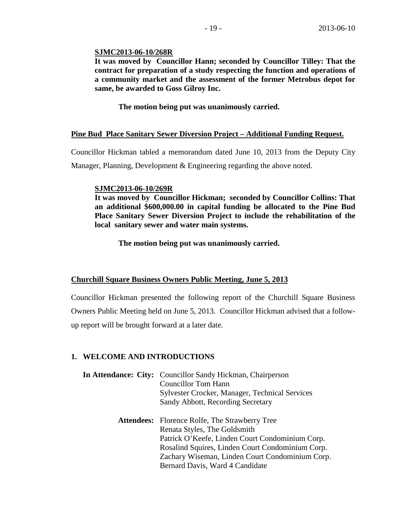### **SJMC2013-06-10/268R**

**It was moved by Councillor Hann; seconded by Councillor Tilley: That the contract for preparation of a study respecting the function and operations of a community market and the assessment of the former Metrobus depot for same, be awarded to Goss Gilroy Inc.**

**The motion being put was unanimously carried.**

### **Pine Bud Place Sanitary Sewer Diversion Project – Additional Funding Request.**

Councillor Hickman tabled a memorandum dated June 10, 2013 from the Deputy City Manager, Planning, Development & Engineering regarding the above noted.

#### **SJMC2013-06-10/269R**

**It was moved by Councillor Hickman; seconded by Councillor Collins: That an additional \$600,000.00 in capital funding be allocated to the Pine Bud Place Sanitary Sewer Diversion Project to include the rehabilitation of the local sanitary sewer and water main systems.**

**The motion being put was unanimously carried.**

### **Churchill Square Business Owners Public Meeting, June 5, 2013**

Councillor Hickman presented the following report of the Churchill Square Business Owners Public Meeting held on June 5, 2013. Councillor Hickman advised that a followup report will be brought forward at a later date.

### **1. WELCOME AND INTRODUCTIONS**

| In Attendance: City: Councillor Sandy Hickman, Chairperson<br><b>Councillor Tom Hann</b><br>Sylvester Crocker, Manager, Technical Services<br>Sandy Abbott, Recording Secretary |
|---------------------------------------------------------------------------------------------------------------------------------------------------------------------------------|
| <b>Attendees:</b> Florence Rolfe, The Strawberry Tree                                                                                                                           |
| Renata Styles, The Goldsmith                                                                                                                                                    |
| Patrick O'Keefe, Linden Court Condominium Corp.                                                                                                                                 |
| Rosalind Squires, Linden Court Condominium Corp.                                                                                                                                |
| Zachary Wiseman, Linden Court Condominium Corp.                                                                                                                                 |
| Bernard Davis, Ward 4 Candidate                                                                                                                                                 |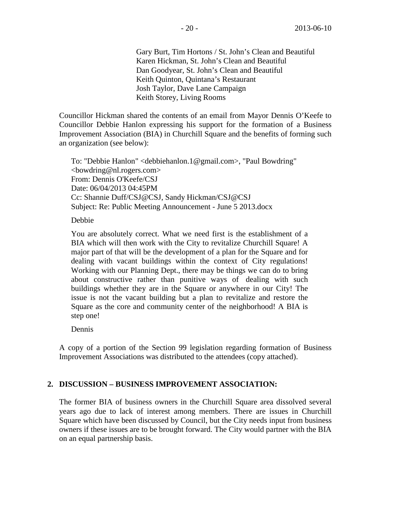Gary Burt, Tim Hortons / St. John's Clean and Beautiful Karen Hickman, St. John's Clean and Beautiful Dan Goodyear, St. John's Clean and Beautiful Keith Quinton, Quintana's Restaurant Josh Taylor, Dave Lane Campaign Keith Storey, Living Rooms

Councillor Hickman shared the contents of an email from Mayor Dennis O'Keefe to Councillor Debbie Hanlon expressing his support for the formation of a Business Improvement Association (BIA) in Churchill Square and the benefits of forming such an organization (see below):

To: "Debbie Hanlon" <debbiehanlon.1@gmail.com>, "Paul Bowdring" <bowdring@nl.rogers.com> From: Dennis O'Keefe/CSJ Date: 06/04/2013 04:45PM Cc: Shannie Duff/CSJ@CSJ, Sandy Hickman/CSJ@CSJ Subject: Re: Public Meeting Announcement - June 5 2013.docx

#### Debbie

You are absolutely correct. What we need first is the establishment of a BIA which will then work with the City to revitalize Churchill Square! A major part of that will be the development of a plan for the Square and for dealing with vacant buildings within the context of City regulations! Working with our Planning Dept., there may be things we can do to bring about constructive rather than punitive ways of dealing with such buildings whether they are in the Square or anywhere in our City! The issue is not the vacant building but a plan to revitalize and restore the Square as the core and community center of the neighborhood! A BIA is step one!

Dennis

A copy of a portion of the Section 99 legislation regarding formation of Business Improvement Associations was distributed to the attendees (copy attached).

## **2. DISCUSSION – BUSINESS IMPROVEMENT ASSOCIATION:**

The former BIA of business owners in the Churchill Square area dissolved several years ago due to lack of interest among members. There are issues in Churchill Square which have been discussed by Council, but the City needs input from business owners if these issues are to be brought forward. The City would partner with the BIA on an equal partnership basis.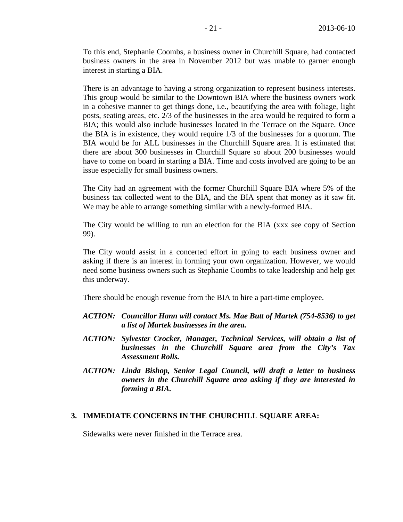To this end, Stephanie Coombs, a business owner in Churchill Square, had contacted business owners in the area in November 2012 but was unable to garner enough interest in starting a BIA.

There is an advantage to having a strong organization to represent business interests. This group would be similar to the Downtown BIA where the business owners work in a cohesive manner to get things done, i.e., beautifying the area with foliage, light posts, seating areas, etc. 2/3 of the businesses in the area would be required to form a BIA; this would also include businesses located in the Terrace on the Square. Once the BIA is in existence, they would require 1/3 of the businesses for a quorum. The BIA would be for ALL businesses in the Churchill Square area. It is estimated that there are about 300 businesses in Churchill Square so about 200 businesses would have to come on board in starting a BIA. Time and costs involved are going to be an issue especially for small business owners.

The City had an agreement with the former Churchill Square BIA where 5% of the business tax collected went to the BIA, and the BIA spent that money as it saw fit. We may be able to arrange something similar with a newly-formed BIA.

The City would be willing to run an election for the BIA (xxx see copy of Section 99).

The City would assist in a concerted effort in going to each business owner and asking if there is an interest in forming your own organization. However, we would need some business owners such as Stephanie Coombs to take leadership and help get this underway.

There should be enough revenue from the BIA to hire a part-time employee.

- *ACTION: Councillor Hann will contact Ms. Mae Butt of Martek (754-8536) to get a list of Martek businesses in the area.*
- *ACTION: Sylvester Crocker, Manager, Technical Services, will obtain a list of businesses in the Churchill Square area from the City's Tax Assessment Rolls.*
- *ACTION: Linda Bishop, Senior Legal Council, will draft a letter to business owners in the Churchill Square area asking if they are interested in forming a BIA.*

#### **3. IMMEDIATE CONCERNS IN THE CHURCHILL SQUARE AREA:**

Sidewalks were never finished in the Terrace area.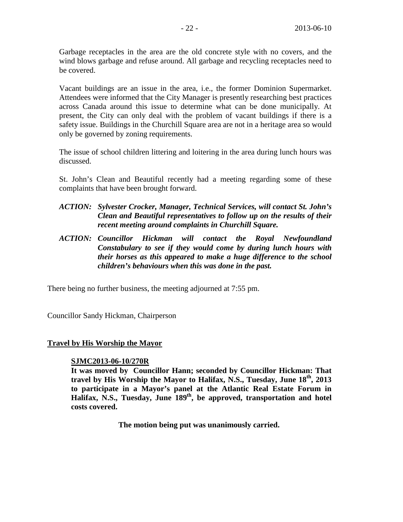Garbage receptacles in the area are the old concrete style with no covers, and the wind blows garbage and refuse around. All garbage and recycling receptacles need to be covered.

Vacant buildings are an issue in the area, i.e., the former Dominion Supermarket. Attendees were informed that the City Manager is presently researching best practices across Canada around this issue to determine what can be done municipally. At present, the City can only deal with the problem of vacant buildings if there is a safety issue. Buildings in the Churchill Square area are not in a heritage area so would only be governed by zoning requirements.

The issue of school children littering and loitering in the area during lunch hours was discussed.

St. John's Clean and Beautiful recently had a meeting regarding some of these complaints that have been brought forward.

- *ACTION: Sylvester Crocker, Manager, Technical Services, will contact St. John's Clean and Beautiful representatives to follow up on the results of their recent meeting around complaints in Churchill Square.*
- *ACTION: Councillor Hickman will contact the Royal Newfoundland Constabulary to see if they would come by during lunch hours with their horses as this appeared to make a huge difference to the school children's behaviours when this was done in the past.*

There being no further business, the meeting adjourned at 7:55 pm.

Councillor Sandy Hickman, Chairperson

#### **Travel by His Worship the Mayor**

#### **SJMC2013-06-10/270R**

**It was moved by Councillor Hann; seconded by Councillor Hickman: That travel by His Worship the Mayor to Halifax, N.S., Tuesday, June 18th, 2013 to participate in a Mayor's panel at the Atlantic Real Estate Forum in**  Halifax, N.S., Tuesday, June 189<sup>th</sup>, be approved, transportation and hotel **costs covered.**

**The motion being put was unanimously carried.**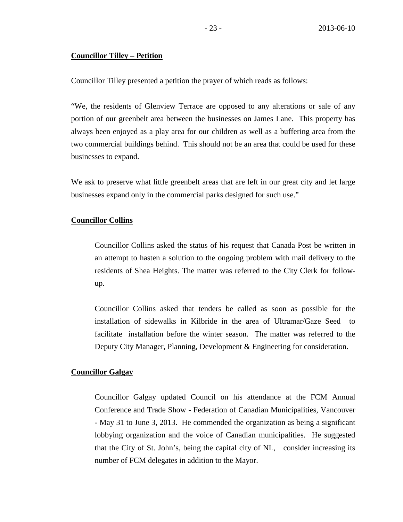#### **Councillor Tilley – Petition**

Councillor Tilley presented a petition the prayer of which reads as follows:

"We, the residents of Glenview Terrace are opposed to any alterations or sale of any portion of our greenbelt area between the businesses on James Lane. This property has always been enjoyed as a play area for our children as well as a buffering area from the two commercial buildings behind. This should not be an area that could be used for these businesses to expand.

We ask to preserve what little greenbelt areas that are left in our great city and let large businesses expand only in the commercial parks designed for such use."

### **Councillor Collins**

Councillor Collins asked the status of his request that Canada Post be written in an attempt to hasten a solution to the ongoing problem with mail delivery to the residents of Shea Heights. The matter was referred to the City Clerk for followup.

Councillor Collins asked that tenders be called as soon as possible for the installation of sidewalks in Kilbride in the area of Ultramar/Gaze Seed to facilitate installation before the winter season. The matter was referred to the Deputy City Manager, Planning, Development & Engineering for consideration.

#### **Councillor Galgay**

Councillor Galgay updated Council on his attendance at the FCM Annual Conference and Trade Show - Federation of Canadian Municipalities, Vancouver - May 31 to June 3, 2013. He commended the organization as being a significant lobbying organization and the voice of Canadian municipalities. He suggested that the City of St. John's, being the capital city of NL, consider increasing its number of FCM delegates in addition to the Mayor.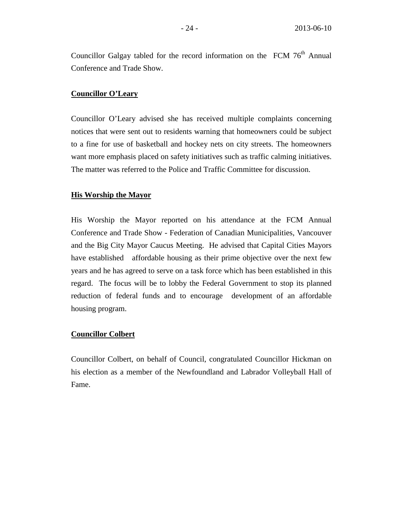Councillor Galgay tabled for the record information on the FCM  $76<sup>th</sup>$  Annual Conference and Trade Show.

### **Councillor O'Leary**

Councillor O'Leary advised she has received multiple complaints concerning notices that were sent out to residents warning that homeowners could be subject to a fine for use of basketball and hockey nets on city streets. The homeowners want more emphasis placed on safety initiatives such as traffic calming initiatives. The matter was referred to the Police and Traffic Committee for discussion.

#### **His Worship the Mayor**

His Worship the Mayor reported on his attendance at the FCM Annual Conference and Trade Show - Federation of Canadian Municipalities, Vancouver and the Big City Mayor Caucus Meeting. He advised that Capital Cities Mayors have established affordable housing as their prime objective over the next few years and he has agreed to serve on a task force which has been established in this regard. The focus will be to lobby the Federal Government to stop its planned reduction of federal funds and to encourage development of an affordable housing program.

#### **Councillor Colbert**

Councillor Colbert, on behalf of Council, congratulated Councillor Hickman on his election as a member of the Newfoundland and Labrador Volleyball Hall of Fame.